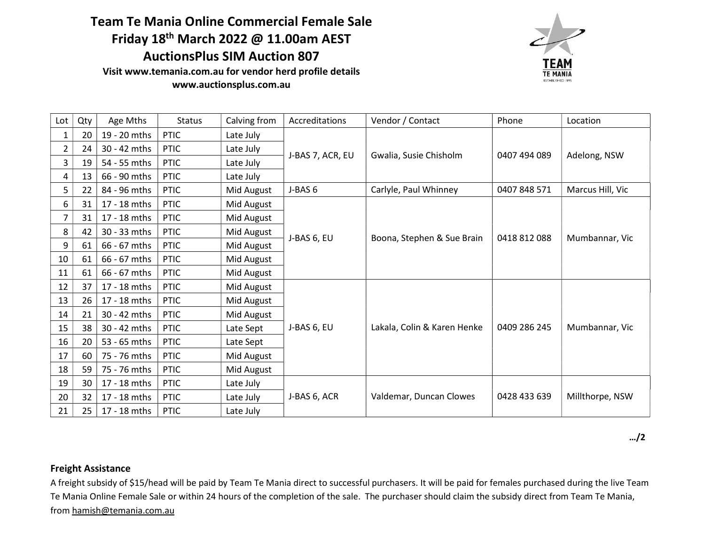## Team Te Mania Online Commercial Female Sale Friday 18th March 2022 @ 11.00am AEST AuctionsPlus SIM Auction 807

Visit www.temania.com.au for vendor herd profile details www.auctionsplus.com.au



| Lot            | Qty | Age Mths       | <b>Status</b> | Calving from | Accreditations   | Vendor / Contact            | Phone        | Location         |
|----------------|-----|----------------|---------------|--------------|------------------|-----------------------------|--------------|------------------|
| 1              | 20  | 19 - 20 mths   | <b>PTIC</b>   | Late July    | J-BAS 7, ACR, EU | Gwalia, Susie Chisholm      | 0407 494 089 | Adelong, NSW     |
| $\overline{2}$ | 24  | 30 - 42 mths   | <b>PTIC</b>   | Late July    |                  |                             |              |                  |
| 3              | 19  | 54 - 55 mths   | <b>PTIC</b>   | Late July    |                  |                             |              |                  |
| 4              | 13  | 66 - 90 mths   | <b>PTIC</b>   | Late July    |                  |                             |              |                  |
| 5              | 22  | 84 - 96 mths   | <b>PTIC</b>   | Mid August   | J-BAS 6          | Carlyle, Paul Whinney       | 0407 848 571 | Marcus Hill, Vic |
| 6              | 31  | 17 - 18 mths   | <b>PTIC</b>   | Mid August   | J-BAS 6, EU      | Boona, Stephen & Sue Brain  | 0418 812 088 | Mumbannar, Vic   |
| 7              | 31  | 17 - 18 mths   | <b>PTIC</b>   | Mid August   |                  |                             |              |                  |
| 8              | 42  | 30 - 33 mths   | <b>PTIC</b>   | Mid August   |                  |                             |              |                  |
| 9              | 61  | 66 - 67 mths   | <b>PTIC</b>   | Mid August   |                  |                             |              |                  |
| 10             | 61  | 66 - 67 mths   | <b>PTIC</b>   | Mid August   |                  |                             |              |                  |
| 11             | 61  | $66 - 67$ mths | <b>PTIC</b>   | Mid August   |                  |                             |              |                  |
| 12             | 37  | 17 - 18 mths   | <b>PTIC</b>   | Mid August   | J-BAS 6, EU      | Lakala, Colin & Karen Henke | 0409 286 245 | Mumbannar, Vic   |
| 13             | 26  | 17 - 18 mths   | <b>PTIC</b>   | Mid August   |                  |                             |              |                  |
| 14             | 21  | 30 - 42 mths   | <b>PTIC</b>   | Mid August   |                  |                             |              |                  |
| 15             | 38  | 30 - 42 mths   | <b>PTIC</b>   | Late Sept    |                  |                             |              |                  |
| 16             | 20  | 53 - 65 mths   | <b>PTIC</b>   | Late Sept    |                  |                             |              |                  |
| 17             | 60  | 75 - 76 mths   | <b>PTIC</b>   | Mid August   |                  |                             |              |                  |
| 18             | 59  | 75 - 76 mths   | <b>PTIC</b>   | Mid August   |                  |                             |              |                  |
| 19             | 30  | 17 - 18 mths   | <b>PTIC</b>   | Late July    | J-BAS 6, ACR     | Valdemar, Duncan Clowes     | 0428 433 639 | Millthorpe, NSW  |
| 20             | 32  | 17 - 18 mths   | <b>PTIC</b>   | Late July    |                  |                             |              |                  |
| 21             | 25  | 17 - 18 mths   | <b>PTIC</b>   | Late July    |                  |                             |              |                  |

…/2

## Freight Assistance

A freight subsidy of \$15/head will be paid by Team Te Mania direct to successful purchasers. It will be paid for females purchased during the live Team Te Mania Online Female Sale or within 24 hours of the completion of the sale. The purchaser should claim the subsidy direct from Team Te Mania, from hamish@temania.com.au